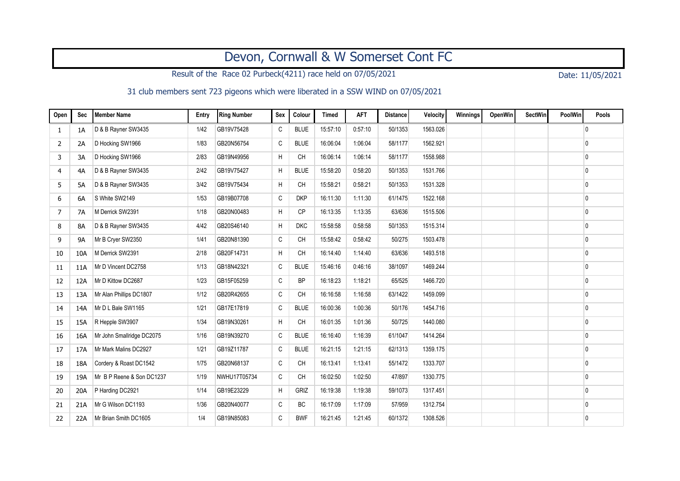## Devon, Cornwall & W Somerset Cont FC

Result of the Race 02 Purbeck(4211) race held on 07/05/2021 Date: 11/05/2021

## 31 club members sent 723 pigeons which were liberated in a SSW WIND on 07/05/2021

| Open           | Sec       | Member Name               | Entry | <b>Ring Number</b> | Sex          | Colour      | <b>Timed</b> | <b>AFT</b> | <b>Distance</b> | Velocity | Winnings | <b>OpenWin</b> | <b>SectWin</b> | PoolWin | Pools        |
|----------------|-----------|---------------------------|-------|--------------------|--------------|-------------|--------------|------------|-----------------|----------|----------|----------------|----------------|---------|--------------|
| 1              | 1A        | D & B Rayner SW3435       | 1/42  | GB19V75428         | C            | <b>BLUE</b> | 15:57:10     | 0:57:10    | 50/1353         | 1563.026 |          |                |                |         | 0            |
| 2              | 2A        | D Hocking SW1966          | 1/83  | GB20N56754         | C            | <b>BLUE</b> | 16:06:04     | 1:06:04    | 58/1177         | 1562.921 |          |                |                |         | 0            |
| 3              | 3A        | D Hocking SW1966          | 2/83  | GB19N49956         | H            | <b>CH</b>   | 16:06:14     | 1:06:14    | 58/1177         | 1558.988 |          |                |                |         | 0            |
| 4              | 4A        | D & B Rayner SW3435       | 2/42  | GB19V75427         | H            | <b>BLUE</b> | 15:58:20     | 0:58:20    | 50/1353         | 1531.766 |          |                |                |         | 0            |
| 5              | 5A        | D & B Rayner SW3435       | 3/42  | GB19V75434         | H            | <b>CH</b>   | 15:58:21     | 0:58:21    | 50/1353         | 1531.328 |          |                |                |         | 0            |
| 6              | 6A        | S White SW2149            | 1/53  | GB19B07708         | $\mathtt{C}$ | <b>DKP</b>  | 16:11:30     | 1:11:30    | 61/1475         | 1522.168 |          |                |                |         | 0            |
| $\overline{7}$ | 7A        | M Derrick SW2391          | 1/18  | GB20N00483         | H            | CP          | 16:13:35     | 1:13:35    | 63/636          | 1515.506 |          |                |                |         | 0            |
| 8              | <b>8A</b> | D & B Rayner SW3435       | 4/42  | GB20S46140         | H            | <b>DKC</b>  | 15:58:58     | 0:58:58    | 50/1353         | 1515.314 |          |                |                |         | 0            |
| 9              | <b>9A</b> | Mr B Cryer SW2350         | 1/41  | GB20N81390         | C            | <b>CH</b>   | 15:58:42     | 0:58:42    | 50/275          | 1503.478 |          |                |                |         | 0            |
| 10             | 10A       | M Derrick SW2391          | 2/18  | GB20F14731         | H            | CH          | 16:14:40     | 1:14:40    | 63/636          | 1493.518 |          |                |                |         | 0            |
| 11             | 11A       | Mr D Vincent DC2758       | 1/13  | GB18N42321         | C            | <b>BLUE</b> | 15:46:16     | 0.46:16    | 38/1097         | 1469.244 |          |                |                |         | $\mathbf{0}$ |
| 12             | 12A       | Mr D Kittow DC2687        | 1/23  | GB15F05259         | $\mathtt{C}$ | <b>BP</b>   | 16:18:23     | 1:18:21    | 65/525          | 1466.720 |          |                |                |         | 0            |
| 13             | 13A       | Mr Alan Phillips DC1807   | 1/12  | GB20R42655         | $\mathtt{C}$ | <b>CH</b>   | 16:16:58     | 1:16:58    | 63/1422         | 1459.099 |          |                |                |         | 0            |
| 14             | 14A       | Mr D L Bale SW1165        | 1/21  | GB17E17819         | $\mathtt{C}$ | <b>BLUE</b> | 16:00:36     | 1:00:36    | 50/176          | 1454.716 |          |                |                |         | 0            |
| 15             | 15A       | R Hepple SW3907           | 1/34  | GB19N30261         | H            | <b>CH</b>   | 16:01:35     | 1:01:36    | 50/725          | 1440.080 |          |                |                |         | 0            |
| 16             | 16A       | Mr John Smallridge DC2075 | 1/16  | GB19N39270         | C            | <b>BLUE</b> | 16:16:40     | 1:16:39    | 61/1047         | 1414.264 |          |                |                |         | 0            |
| 17             | 17A       | Mr Mark Malins DC2927     | 1/21  | GB19Z11787         | $\mathtt{C}$ | <b>BLUE</b> | 16:21:15     | 1:21:15    | 62/1313         | 1359.175 |          |                |                |         | 0            |
| 18             | 18A       | Cordery & Roast DC1542    | 1/75  | GB20N68137         | C            | <b>CH</b>   | 16:13:41     | 1:13:41    | 55/1472         | 1333.707 |          |                |                |         | 0            |
| 19             | 19A       | Mr B P Reene & Son DC1237 | 1/19  | NWHU17T05734       | C            | <b>CH</b>   | 16:02:50     | 1:02:50    | 47/897          | 1330.775 |          |                |                |         | 0            |
| 20             | 20A       | P Harding DC2921          | 1/14  | GB19E23229         | Н            | GRIZ        | 16:19:38     | 1:19:38    | 59/1073         | 1317.451 |          |                |                |         | 0            |
| 21             | 21A       | Mr G Wilson DC1193        | 1/36  | GB20N40077         | $\mathtt{C}$ | BC          | 16:17:09     | 1:17:09    | 57/959          | 1312.754 |          |                |                |         | 0            |
| 22             | 22A       | Mr Brian Smith DC1605     | 1/4   | GB19N85083         | $\mathtt{C}$ | <b>BWF</b>  | 16:21:45     | 1:21:45    | 60/1372         | 1308.526 |          |                |                |         | 0            |